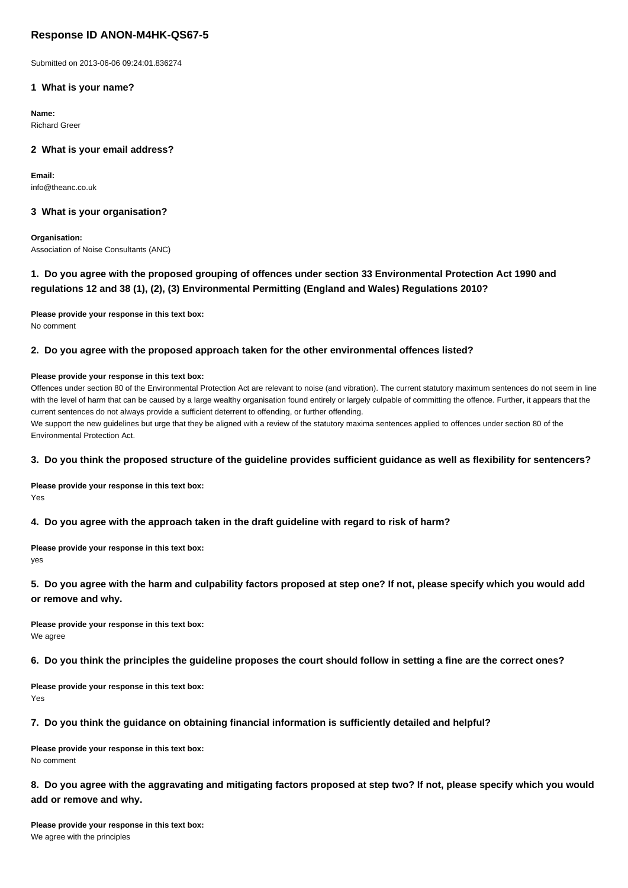# **Response ID ANON-M4HK-QS67-5**

Submitted on 2013-06-06 09:24:01.836274

## **1 What is your name?**

**Name:** Richard Greer

# **2 What is your email address?**

**Email:** info@theanc.co.uk

### **3 What is your organisation?**

**Organisation:** Association of Noise Consultants (ANC)

# **1. Do you agree with the proposed grouping of offences under section 33 Environmental Protection Act 1990 and regulations 12 and 38 (1), (2), (3) Environmental Permitting (England and Wales) Regulations 2010?**

**Please provide your response in this text box:** No comment

# **2. Do you agree with the proposed approach taken for the other environmental offences listed?**

#### **Please provide your response in this text box:**

Offences under section 80 of the Environmental Protection Act are relevant to noise (and vibration). The current statutory maximum sentences do not seem in line with the level of harm that can be caused by a large wealthy organisation found entirely or largely culpable of committing the offence. Further, it appears that the current sentences do not always provide a sufficient deterrent to offending, or further offending. We support the new quidelines but urge that they be aligned with a review of the statutory maxima sentences applied to offences under section 80 of the Environmental Protection Act.

# **3. Do you think the proposed structure of the guideline provides sufficient guidance as well as flexibility for sentencers?**

**Please provide your response in this text box:** Yes

#### **4. Do you agree with the approach taken in the draft guideline with regard to risk of harm?**

**Please provide your response in this text box:** yes

**5. Do you agree with the harm and culpability factors proposed at step one? If not, please specify which you would add or remove and why.**

**Please provide your response in this text box:** We agree

#### **6. Do you think the principles the guideline proposes the court should follow in setting a fine are the correct ones?**

**Please provide your response in this text box:** Yes

## **7. Do you think the guidance on obtaining financial information is sufficiently detailed and helpful?**

**Please provide your response in this text box:** No comment

# **8. Do you agree with the aggravating and mitigating factors proposed at step two? If not, please specify which you would add or remove and why.**

**Please provide your response in this text box:** We agree with the principles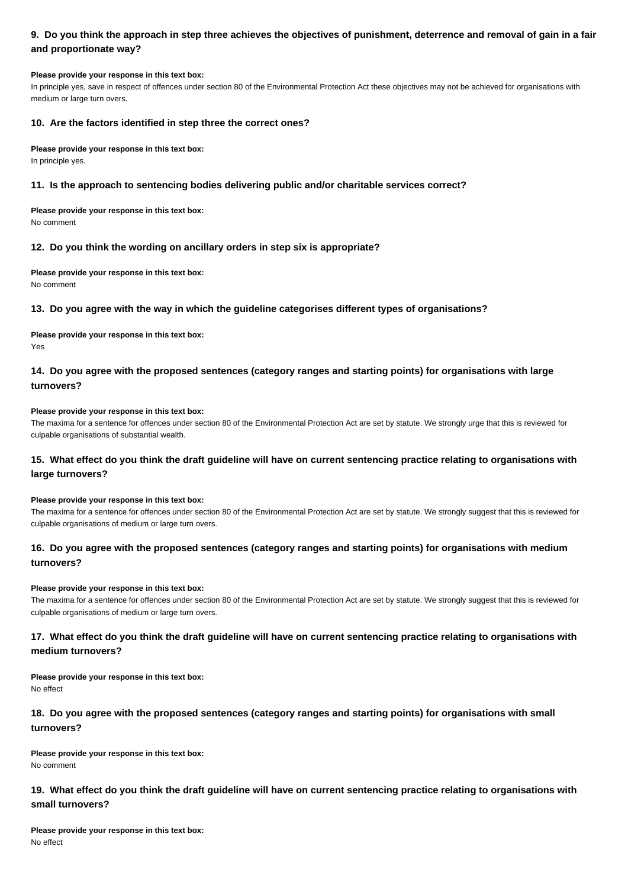# **9. Do you think the approach in step three achieves the objectives of punishment, deterrence and removal of gain in a fair and proportionate way?**

#### **Please provide your response in this text box:**

In principle yes, save in respect of offences under section 80 of the Environmental Protection Act these objectives may not be achieved for organisations with medium or large turn overs.

### **10. Are the factors identified in step three the correct ones?**

#### **Please provide your response in this text box:**

In principle yes.

### **11. Is the approach to sentencing bodies delivering public and/or charitable services correct?**

**Please provide your response in this text box:** No comment

### **12. Do you think the wording on ancillary orders in step six is appropriate?**

**Please provide your response in this text box:** No comment

## **13. Do you agree with the way in which the guideline categorises different types of organisations?**

**Please provide your response in this text box:** Yes

# **14. Do you agree with the proposed sentences (category ranges and starting points) for organisations with large turnovers?**

#### **Please provide your response in this text box:**

The maxima for a sentence for offences under section 80 of the Environmental Protection Act are set by statute. We strongly urge that this is reviewed for culpable organisations of substantial wealth.

# **15. What effect do you think the draft guideline will have on current sentencing practice relating to organisations with large turnovers?**

#### **Please provide your response in this text box:**

The maxima for a sentence for offences under section 80 of the Environmental Protection Act are set by statute. We strongly suggest that this is reviewed for culpable organisations of medium or large turn overs.

# **16. Do you agree with the proposed sentences (category ranges and starting points) for organisations with medium turnovers?**

#### **Please provide your response in this text box:**

The maxima for a sentence for offences under section 80 of the Environmental Protection Act are set by statute. We strongly suggest that this is reviewed for culpable organisations of medium or large turn overs.

# **17. What effect do you think the draft guideline will have on current sentencing practice relating to organisations with medium turnovers?**

#### **Please provide your response in this text box:** No effect

# **18. Do you agree with the proposed sentences (category ranges and starting points) for organisations with small turnovers?**

**Please provide your response in this text box:** No comment

# **19. What effect do you think the draft guideline will have on current sentencing practice relating to organisations with small turnovers?**

**Please provide your response in this text box:** No effect